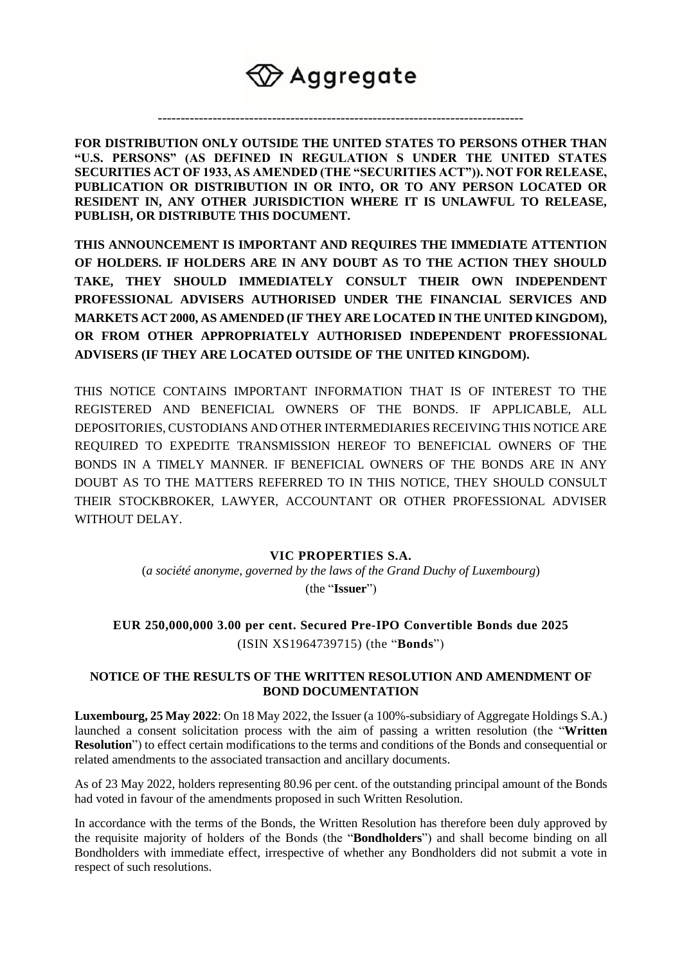## $\bigcirc \hspace{-3.5mm} \mathbb{Z}$  Aggregate

**FOR DISTRIBUTION ONLY OUTSIDE THE UNITED STATES TO PERSONS OTHER THAN "U.S. PERSONS" (AS DEFINED IN REGULATION S UNDER THE UNITED STATES SECURITIES ACT OF 1933, AS AMENDED (THE "SECURITIES ACT")). NOT FOR RELEASE, PUBLICATION OR DISTRIBUTION IN OR INTO, OR TO ANY PERSON LOCATED OR RESIDENT IN, ANY OTHER JURISDICTION WHERE IT IS UNLAWFUL TO RELEASE, PUBLISH, OR DISTRIBUTE THIS DOCUMENT.**

--------------------------------------------------------------------------------

**THIS ANNOUNCEMENT IS IMPORTANT AND REQUIRES THE IMMEDIATE ATTENTION OF HOLDERS. IF HOLDERS ARE IN ANY DOUBT AS TO THE ACTION THEY SHOULD TAKE, THEY SHOULD IMMEDIATELY CONSULT THEIR OWN INDEPENDENT PROFESSIONAL ADVISERS AUTHORISED UNDER THE FINANCIAL SERVICES AND MARKETS ACT 2000, AS AMENDED (IF THEY ARE LOCATED IN THE UNITED KINGDOM), OR FROM OTHER APPROPRIATELY AUTHORISED INDEPENDENT PROFESSIONAL ADVISERS (IF THEY ARE LOCATED OUTSIDE OF THE UNITED KINGDOM).** 

THIS NOTICE CONTAINS IMPORTANT INFORMATION THAT IS OF INTEREST TO THE REGISTERED AND BENEFICIAL OWNERS OF THE BONDS. IF APPLICABLE, ALL DEPOSITORIES, CUSTODIANS AND OTHER INTERMEDIARIES RECEIVING THIS NOTICE ARE REQUIRED TO EXPEDITE TRANSMISSION HEREOF TO BENEFICIAL OWNERS OF THE BONDS IN A TIMELY MANNER. IF BENEFICIAL OWNERS OF THE BONDS ARE IN ANY DOUBT AS TO THE MATTERS REFERRED TO IN THIS NOTICE, THEY SHOULD CONSULT THEIR STOCKBROKER, LAWYER, ACCOUNTANT OR OTHER PROFESSIONAL ADVISER WITHOUT DELAY.

## **VIC PROPERTIES S.A.**

(*a société anonyme, governed by the laws of the Grand Duchy of Luxembourg*)

(the "**Issuer**")

**EUR 250,000,000 3.00 per cent. Secured Pre-IPO Convertible Bonds due 2025** (ISIN XS1964739715) (the "**Bonds**")

## **NOTICE OF THE RESULTS OF THE WRITTEN RESOLUTION AND AMENDMENT OF BOND DOCUMENTATION**

**Luxembourg, 25 May 2022**: On 18 May 2022, the Issuer (a 100%-subsidiary of Aggregate Holdings S.A.) launched a consent solicitation process with the aim of passing a written resolution (the "**Written Resolution**") to effect certain modifications to the terms and conditions of the Bonds and consequential or related amendments to the associated transaction and ancillary documents.

As of 23 May 2022, holders representing 80.96 per cent. of the outstanding principal amount of the Bonds had voted in favour of the amendments proposed in such Written Resolution.

In accordance with the terms of the Bonds, the Written Resolution has therefore been duly approved by the requisite majority of holders of the Bonds (the "**Bondholders**") and shall become binding on all Bondholders with immediate effect, irrespective of whether any Bondholders did not submit a vote in respect of such resolutions.